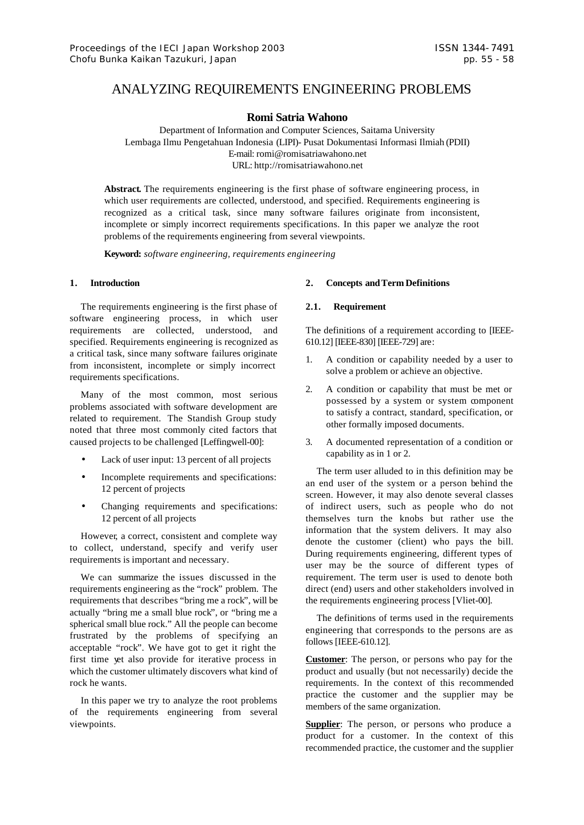# ANALYZING REQUIREMENTS ENGINEERING PROBLEMS

# **Romi Satria Wahono**

Department of Information and Computer Sciences, Saitama University Lembaga Ilmu Pengetahuan Indonesia (LIPI)- Pusat Dokumentasi Informasi Ilmiah (PDII) E-mail: romi@romisatriawahono.net URL: http://romisatriawahono.net

**Abstract.** The requirements engineering is the first phase of software engineering process, in which user requirements are collected, understood, and specified. Requirements engineering is recognized as a critical task, since many software failures originate from inconsistent, incomplete or simply incorrect requirements specifications. In this paper we analyze the root problems of the requirements engineering from several viewpoints.

**Keyword:** *software engineering, requirements engineering*

## **1. Introduction**

The requirements engineering is the first phase of software engineering process, in which user requirements are collected, understood, and specified. Requirements engineering is recognized as a critical task, since many software failures originate from inconsistent, incomplete or simply incorrect requirements specifications.

Many of the most common, most serious problems associated with software development are related to requirement. The Standish Group study noted that three most commonly cited factors that caused projects to be challenged [Leffingwell-00]:

- Lack of user input: 13 percent of all projects
- Incomplete requirements and specifications: 12 percent of projects
- Changing requirements and specifications: 12 percent of all projects

However, a correct, consistent and complete way to collect, understand, specify and verify user requirements is important and necessary.

We can summarize the issues discussed in the requirements engineering as the "rock" problem. The requirements that describes "bring me a rock", will be actually "bring me a small blue rock", or "bring me a spherical small blue rock." All the people can become frustrated by the problems of specifying an acceptable "rock". We have got to get it right the first time yet also provide for iterative process in which the customer ultimately discovers what kind of rock he wants.

In this paper we try to analyze the root problems of the requirements engineering from several viewpoints.

#### **2. Concepts andTerm Definitions**

# **2.1. Requirement**

The definitions of a requirement according to [IEEE-610.12] [IEEE-830] [IEEE-729] are:

- 1. A condition or capability needed by a user to solve a problem or achieve an objective.
- 2. A condition or capability that must be met or possessed by a system or system component to satisfy a contract, standard, specification, or other formally imposed documents.
- 3. A documented representation of a condition or capability as in 1 or 2.

The term user alluded to in this definition may be an end user of the system or a person behind the screen. However, it may also denote several classes of indirect users, such as people who do not themselves turn the knobs but rather use the information that the system delivers. It may also denote the customer (client) who pays the bill. During requirements engineering, different types of user may be the source of different types of requirement. The term user is used to denote both direct (end) users and other stakeholders involved in the requirements engineering process [Vliet-00].

The definitions of terms used in the requirements engineering that corresponds to the persons are as follows [IEEE-610.12].

**Customer**: The person, or persons who pay for the product and usually (but not necessarily) decide the requirements. In the context of this recommended practice the customer and the supplier may be members of the same organization.

**Supplier**: The person, or persons who produce a product for a customer. In the context of this recommended practice, the customer and the supplier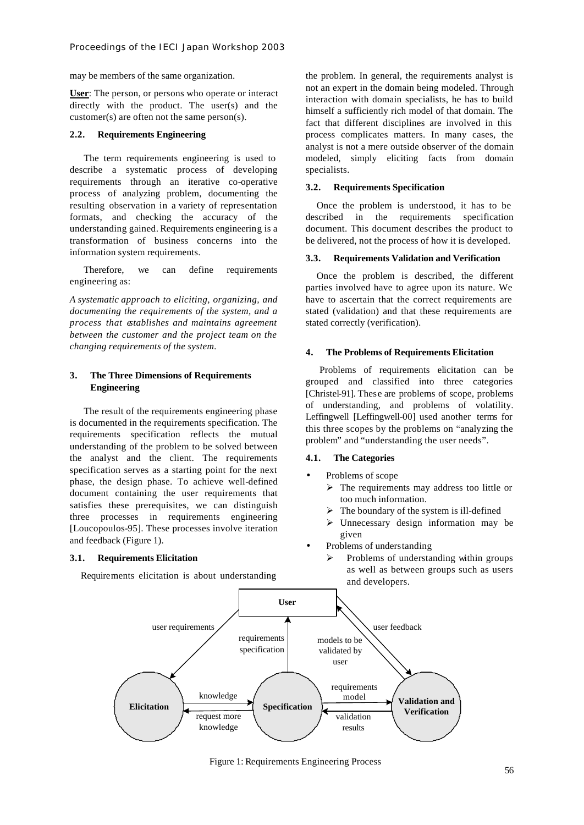may be members of the same organization.

**User**: The person, or persons who operate or interact directly with the product. The user(s) and the customer(s) are often not the same person(s).

## **2.2. Requirements Engineering**

The term requirements engineering is used to describe a systematic process of developing requirements through an iterative co-operative process of analyzing problem, documenting the resulting observation in a variety of representation formats, and checking the accuracy of the understanding gained. Requirements engineering is a transformation of business concerns into the information system requirements.

Therefore, we can define requirements engineering as:

*A systematic approach to eliciting, organizing, and documenting the requirements of the system, and a process that establishes and maintains agreement between the customer and the project team on the changing requirements of the system.*

# **3. The Three Dimensions of Requirements Engineering**

The result of the requirements engineering phase is documented in the requirements specification. The requirements specification reflects the mutual understanding of the problem to be solved between the analyst and the client. The requirements specification serves as a starting point for the next phase, the design phase. To achieve well-defined document containing the user requirements that satisfies these prerequisites, we can distinguish three processes in requirements engineering [Loucopoulos-95]. These processes involve iteration and feedback (Figure 1).

#### **3.1. Requirements Elicitation**

Requirements elicitation is about understanding

the problem. In general, the requirements analyst is not an expert in the domain being modeled. Through interaction with domain specialists, he has to build himself a sufficiently rich model of that domain. The fact that different disciplines are involved in this process complicates matters. In many cases, the analyst is not a mere outside observer of the domain modeled, simply eliciting facts from domain specialists.

# **3.2. Requirements Specification**

Once the problem is understood, it has to be described in the requirements specification document. This document describes the product to be delivered, not the process of how it is developed.

#### **3.3. Requirements Validation and Verification**

Once the problem is described, the different parties involved have to agree upon its nature. We have to ascertain that the correct requirements are stated (validation) and that these requirements are stated correctly (verification).

#### **4. The Problems of Requirements Elicitation**

Problems of requirements elicitation can be grouped and classified into three categories [Christel-91]. These are problems of scope, problems of understanding, and problems of volatility. Leffingwell [Leffingwell-00] used another terms for this three scopes by the problems on "analyzing the problem" and "understanding the user needs".

#### **4.1. The Categories**

- Problems of scope
	- $\triangleright$  The requirements may address too little or too much information.
	- $\triangleright$  The boundary of the system is ill-defined
	- $\triangleright$  Unnecessary design information may be given
- Problems of understanding
	- Problems of understanding within groups as well as between groups such as users and developers.



Figure 1: Requirements Engineering Process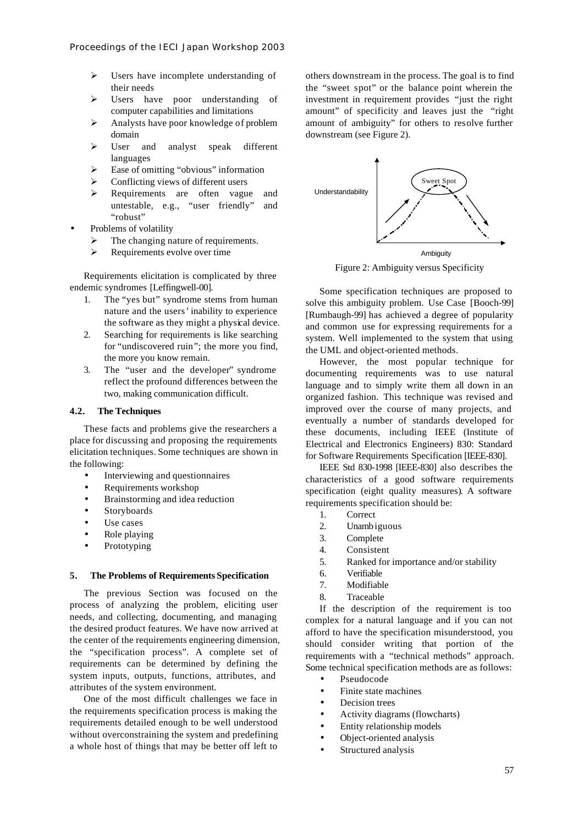- $\triangleright$  Users have incomplete understanding of their needs
- > Users have poor understanding of computer capabilities and limitations
- > Analysts have poor knowledge of problem domain
- ÿ User and analyst speak different languages
- $\triangleright$  Ease of omitting "obvious" information
- Conflicting views of different users
- > Requirements are often vague and untestable, e.g., "user friendly" and "robust"
- Problems of volatility
	- $\triangleright$  The changing nature of requirements.
	- $\triangleright$  Requirements evolve over time

Requirements elicitation is complicated by three endemic syndromes [Leffingwell-00].

- 1. The "yes but" syndrome stems from human nature and the users' inability to experience the software as they might a physical device.
- 2. Searching for requirements is like searching for "undiscovered ruin"; the more you find, the more you know remain.
- 3. The "user and the developer" syndrome reflect the profound differences between the two, making communication difficult.

#### **4.2. The Techniques**

These facts and problems give the researchers a place for discussing and proposing the requirements elicitation techniques. Some techniques are shown in the following:

- Interviewing and questionnaires
- Requirements workshop
- Brainstorming and idea reduction
- **Storyboards**
- Use cases
- Role playing
- **Prototyping**

#### **5. The Problems of Requirements Specification**

The previous Section was focused on the process of analyzing the problem, eliciting user needs, and collecting, documenting, and managing the desired product features. We have now arrived at the center of the requirements engineering dimension, the "specification process". A complete set of requirements can be determined by defining the system inputs, outputs, functions, attributes, and attributes of the system environment.

One of the most difficult challenges we face in the requirements specification process is making the requirements detailed enough to be well understood without overconstraining the system and predefining a whole host of things that may be better off left to others downstream in the process. The goal is to find the "sweet spot" or the balance point wherein the investment in requirement provides "just the right amount" of specificity and leaves just the "right amount of ambiguity" for others to resolve further downstream (see Figure 2).



Figure 2: Ambiguity versus Specificity

Some specification techniques are proposed to solve this ambiguity problem. Use Case [Booch-99] [Rumbaugh-99] has achieved a degree of popularity and common use for expressing requirements for a system. Well implemented to the system that using the UML and object-oriented methods.

However, the most popular technique for documenting requirements was to use natural language and to simply write them all down in an organized fashion. This technique was revised and improved over the course of many projects, and eventually a number of standards developed for these documents, including IEEE (Institute of Electrical and Electronics Engineers) 830: Standard for Software Requirements Specification [IEEE-830].

IEEE Std 830-1998 [IEEE-830] also describes the characteristics of a good software requirements specification (eight quality measures). A software requirements specification should be:

- 1. Correct
- 2. Unambiguous
- 3. Complete
- 4. Consistent
- 5. Ranked for importance and/or stability
- 6. Verifiable
- 7. Modifiable
- 8. Traceable

If the description of the requirement is too complex for a natural language and if you can not afford to have the specification misunderstood, you should consider writing that portion of the requirements with a "technical methods" approach. Some technical specification methods are as follows:

- Pseudocode
- Finite state machines
- Decision trees
- Activity diagrams (flowcharts)
- Entity relationship models
- Object-oriented analysis
- Structured analysis